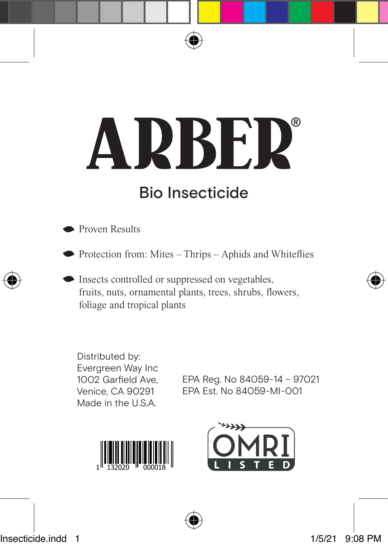# **NDBED**  $\mathbf{\Delta}$ Bio Insecticide

**Proven Results** 

 $\bullet$  Protection from: Mites – Thrips – Aphids and Whiteflies

 $\bullet$  Insects controlled or suppressed on vegetables, fruits, nuts, ornamental plants, trees, shrubs, flowers, foliage and tropical plants

Distributed by: Evergreen Way Inc 1002 Garfield Ave, Venice, CA 90291 Made in the U.S.A.

EPA Reg. No 84059-14 – 97021 EPA Est. No 84059-MI-001



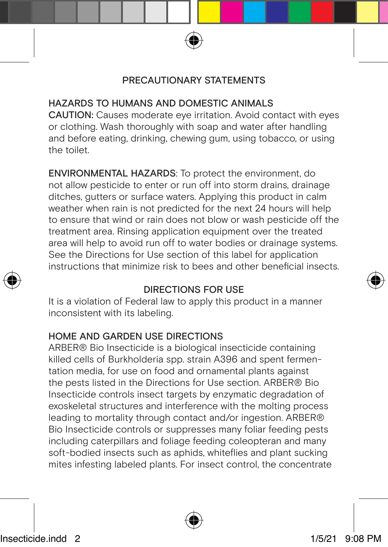#### PRECAUTIONARY STATEMENTS

#### HAZARDS TO HUMANS AND DOMESTIC ANIMALS

CAUTION: Causes moderate eye irritation. Avoid contact with eyes or clothing. Wash thoroughly with soap and water after handling and before eating, drinking, chewing gum, using tobacco, or using the toilet.

ENVIRONMENTAL HAZARDS: To protect the environment, do not allow pesticide to enter or run off into storm drains, drainage ditches, gutters or surface waters. Applying this product in calm weather when rain is not predicted for the next 24 hours will help to ensure that wind or rain does not blow or wash pesticide off the treatment area. Rinsing application equipment over the treated area will help to avoid run off to water bodies or drainage systems. See the Directions for Use section of this label for application instructions that minimize risk to bees and other beneficial insects.

#### DIRECTIONS FOR USE

It is a violation of Federal law to apply this product in a manner inconsistent with its labeling.

#### HOME AND GARDEN USE DIRECTIONS

ARBER® Bio Insecticide is a biological insecticide containing killed cells of Burkholderia spp. strain A396 and spent fermentation media, for use on food and ornamental plants against the pests listed in the Directions for Use section. ARBER® Bio Insecticide controls insect targets by enzymatic degradation of exoskeletal structures and interference with the molting process leading to mortality through contact and/or ingestion. ARBER® Bio Insecticide controls or suppresses many foliar feeding pests including caterpillars and foliage feeding coleopteran and many soft-bodied insects such as aphids, whiteflies and plant sucking mites infesting labeled plants. For insect control, the concentrate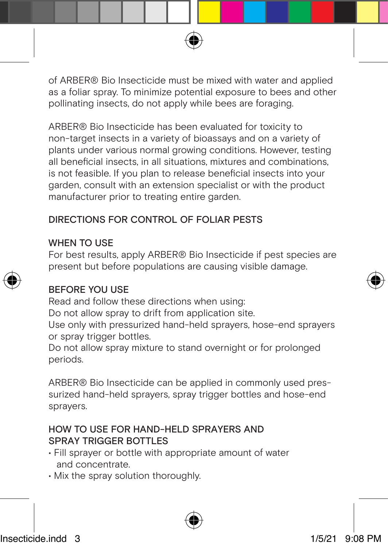of ARBER® Bio Insecticide must be mixed with water and applied as a foliar spray. To minimize potential exposure to bees and other pollinating insects, do not apply while bees are foraging.

ARBER® Bio Insecticide has been evaluated for toxicity to non-target insects in a variety of bioassays and on a variety of plants under various normal growing conditions. However, testing all beneficial insects, in all situations, mixtures and combinations, is not feasible. If you plan to release beneficial insects into your garden, consult with an extension specialist or with the product manufacturer prior to treating entire garden.

#### DIRECTIONS FOR CONTROL OF FOLIAR PESTS

#### WHEN TO LISE

For best results, apply ARBER® Bio Insecticide if pest species are present but before populations are causing visible damage.

#### BEFORE YOU USE

Read and follow these directions when using:

Do not allow spray to drift from application site.

Use only with pressurized hand-held sprayers, hose-end sprayers or spray trigger bottles.

Do not allow spray mixture to stand overnight or for prolonged periods.

ARBER® Bio Insecticide can be applied in commonly used pressurized hand-held sprayers, spray trigger bottles and hose-end sprayers.

#### HOW TO USE FOR HAND-HELD SPRAYERS AND SPRAY TRIGGER BOTTLES

- Fill sprayer or bottle with appropriate amount of water and concentrate.
- Mix the spray solution thoroughly.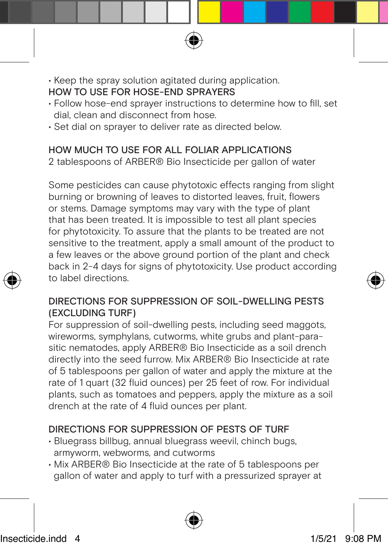#### • Keep the spray solution agitated during application. HOW TO USE FOR HOSE-END SPRAYERS

- Follow hose-end sprayer instructions to determine how to fill, set dial, clean and disconnect from hose.
- Set dial on sprayer to deliver rate as directed below.

#### HOW MUCH TO USE FOR ALL FOLIAR APPLICATIONS 2 tablespoons of ARBER® Bio Insecticide per gallon of water

Some pesticides can cause phytotoxic effects ranging from slight burning or browning of leaves to distorted leaves, fruit, flowers or stems. Damage symptoms may vary with the type of plant that has been treated. It is impossible to test all plant species for phytotoxicity. To assure that the plants to be treated are not sensitive to the treatment, apply a small amount of the product to a few leaves or the above ground portion of the plant and check back in 2-4 days for signs of phytotoxicity. Use product according to label directions.

#### DIRECTIONS FOR SUPPRESSION OF SOIL-DWELLING PESTS (EXCLUDING TURF)

For suppression of soil-dwelling pests, including seed maggots, wireworms, symphylans, cutworms, white grubs and plant-parasitic nematodes, apply ARBER® Bio Insecticide as a soil drench directly into the seed furrow. Mix ARBER® Bio Insecticide at rate of 5 tablespoons per gallon of water and apply the mixture at the rate of 1 quart (32 fluid ounces) per 25 feet of row. For individual plants, such as tomatoes and peppers, apply the mixture as a soil drench at the rate of 4 fluid ounces per plant.

#### DIRECTIONS FOR SUPPRESSION OF PESTS OF TURF

- Bluegrass billbug, annual bluegrass weevil, chinch bugs, armyworm, webworms, and cutworms
- Mix ARBER® Bio Insecticide at the rate of 5 tablespoons per gallon of water and apply to turf with a pressurized sprayer at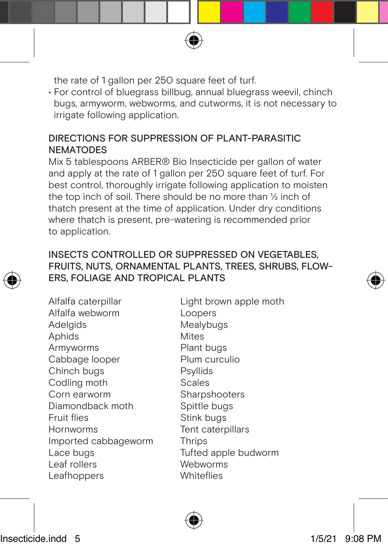the rate of 1 gallon per 250 square feet of turf.

• For control of bluegrass billbug, annual bluegrass weevil, chinch bugs, armyworm, webworms, and cutworms, it is not necessary to irrigate following application.

#### DIRECTIONS FOR SUPPRESSION OF PLANT-PARASITIC **NEMATODES**

Mix 5 tablespoons ARBER® Bio Insecticide per gallon of water and apply at the rate of 1 gallon per 250 square feet of turf. For best control, thoroughly irrigate following application to moisten the top inch of soil. There should be no more than ½ inch of thatch present at the time of application. Under dry conditions where thatch is present, pre-watering is recommended prior to application.

#### INSECTS CONTROLLED OR SUPPRESSED ON VEGETABLES, FRUITS, NUTS, ORNAMENTAL PLANTS, TREES, SHRUBS, FLOW-ERS, FOLIAGE AND TROPICAL PLANTS

Alfalfa caterpillar Alfalfa webworm Adelgids Aphids Armyworms Cabbage looper Chinch bugs Codling moth Corn earworm Diamondback moth Fruit flies Hornworms Imported cabbageworm Lace bugs Leaf rollers Leafhoppers

Light brown apple moth Loopers Mealybugs Mites Plant bugs Plum curculio Psyllids Scales Sharpshooters Spittle bugs Stink bugs Tent caterpillars **Thrips** Tufted apple budworm Webworms **Whiteflies**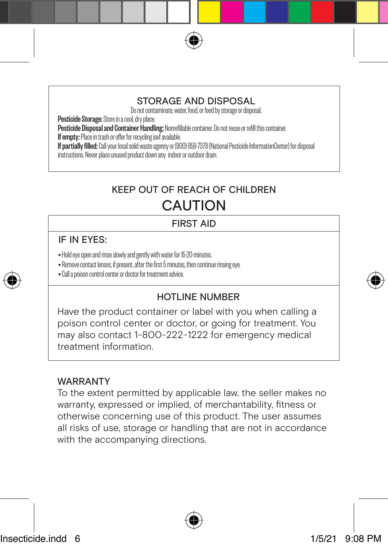#### STORAGE AND DISPOSAL

Do not contaminate, water, food, or feed by storage or disposal.

Pesticide Storage: Store in a cool, dry place.

Pesticide Disposal and Container Handling: Nonrefillable container. Do not reuse or refill this container.<br>If empty: Place in trash or offer for recycling iavf available.

If partially filled: Call your local solid waste agency or (800) 858-7378 (National Pesticide InformationCenter) for disposal

instructions. Never place unused product down any indoor or outdoor drain.

## KEEP OUT OF REACH OF CHILDREN **CAUTION**

#### FIRST AID

#### IF IN EYES:

- Hold eye open and rinse slowly and gently with water for 15-20 minutes.
- Remove contact lenses, if present, after the first 5 minutes, then continue rinsing eye.
- Call a poison control center or doctor for treatment advice.

#### HOTLINE NUMBER

Have the product container or label with you when calling a poison control center or doctor, or going for treatment. You may also contact 1-800-222-1222 for emergency medical treatment information.

#### **WARRANTY**

To the extent permitted by applicable law, the seller makes no warranty, expressed or implied, of merchantability, fitness or otherwise concerning use of this product. The user assumes all risks of use, storage or handling that are not in accordance with the accompanying directions.